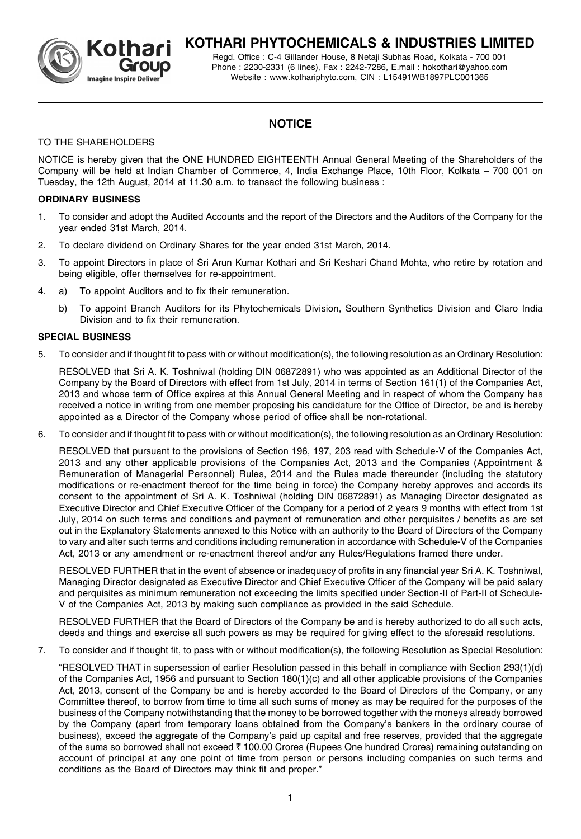

# **KOTHARI PHYTOCHEMICALS & INDUSTRIES LIMITED**

Regd. Office : C-4 Gillander House, 8 Netaji Subhas Road, Kolkata - 700 001 Phone : 2230-2331 (6 lines), Fax : 2242-7286, E.mail : hokothari@yahoo.com Website : www.kothariphyto.com, CIN : L15491WB1897PLC001365

# **NOTICE**

# TO THE SHAREHOLDERS

NOTICE is hereby given that the ONE HUNDRED EIGHTEENTH Annual General Meeting of the Shareholders of the Company will be held at Indian Chamber of Commerce, 4, India Exchange Place, 10th Floor, Kolkata – 700 001 on Tuesday, the 12th August, 2014 at 11.30 a.m. to transact the following business :

# **ORDINARY BUSINESS**

- 1. To consider and adopt the Audited Accounts and the report of the Directors and the Auditors of the Company for the year ended 31st March, 2014.
- 2. To declare dividend on Ordinary Shares for the year ended 31st March, 2014.
- 3. To appoint Directors in place of Sri Arun Kumar Kothari and Sri Keshari Chand Mohta, who retire by rotation and being eligible, offer themselves for re-appointment.
- 4. a) To appoint Auditors and to fix their remuneration.
	- b) To appoint Branch Auditors for its Phytochemicals Division, Southern Synthetics Division and Claro India Division and to fix their remuneration.

## **SPECIAL BUSINESS**

5. To consider and if thought fit to pass with or without modification(s), the following resolution as an Ordinary Resolution:

RESOLVED that Sri A. K. Toshniwal (holding DIN 06872891) who was appointed as an Additional Director of the Company by the Board of Directors with effect from 1st July, 2014 in terms of Section 161(1) of the Companies Act, 2013 and whose term of Office expires at this Annual General Meeting and in respect of whom the Company has received a notice in writing from one member proposing his candidature for the Office of Director, be and is hereby appointed as a Director of the Company whose period of office shall be non-rotational.

6. To consider and if thought fit to pass with or without modification(s), the following resolution as an Ordinary Resolution:

RESOLVED that pursuant to the provisions of Section 196, 197, 203 read with Schedule-V of the Companies Act, 2013 and any other applicable provisions of the Companies Act, 2013 and the Companies (Appointment & Remuneration of Managerial Personnel) Rules, 2014 and the Rules made thereunder (including the statutory modifications or re-enactment thereof for the time being in force) the Company hereby approves and accords its consent to the appointment of Sri A. K. Toshniwal (holding DIN 06872891) as Managing Director designated as Executive Director and Chief Executive Officer of the Company for a period of 2 years 9 months with effect from 1st July, 2014 on such terms and conditions and payment of remuneration and other perquisites / benefits as are set out in the Explanatory Statements annexed to this Notice with an authority to the Board of Directors of the Company to vary and alter such terms and conditions including remuneration in accordance with Schedule-V of the Companies Act, 2013 or any amendment or re-enactment thereof and/or any Rules/Regulations framed there under.

RESOLVED FURTHER that in the event of absence or inadequacy of profits in any financial year Sri A. K. Toshniwal, Managing Director designated as Executive Director and Chief Executive Officer of the Company will be paid salary and perquisites as minimum remuneration not exceeding the limits specified under Section-II of Part-II of Schedule-V of the Companies Act, 2013 by making such compliance as provided in the said Schedule.

RESOLVED FURTHER that the Board of Directors of the Company be and is hereby authorized to do all such acts, deeds and things and exercise all such powers as may be required for giving effect to the aforesaid resolutions.

7. To consider and if thought fit, to pass with or without modification(s), the following Resolution as Special Resolution:

"RESOLVED THAT in supersession of earlier Resolution passed in this behalf in compliance with Section 293(1)(d) of the Companies Act, 1956 and pursuant to Section 180(1)(c) and all other applicable provisions of the Companies Act, 2013, consent of the Company be and is hereby accorded to the Board of Directors of the Company, or any Committee thereof, to borrow from time to time all such sums of money as may be required for the purposes of the business of the Company notwithstanding that the money to be borrowed together with the moneys already borrowed by the Company (apart from temporary loans obtained from the Company's bankers in the ordinary course of business), exceed the aggregate of the Company's paid up capital and free reserves, provided that the aggregate of the sums so borrowed shall not exceed  $\bar{\tau}$  100.00 Crores (Rupees One hundred Crores) remaining outstanding on account of principal at any one point of time from person or persons including companies on such terms and conditions as the Board of Directors may think fit and proper."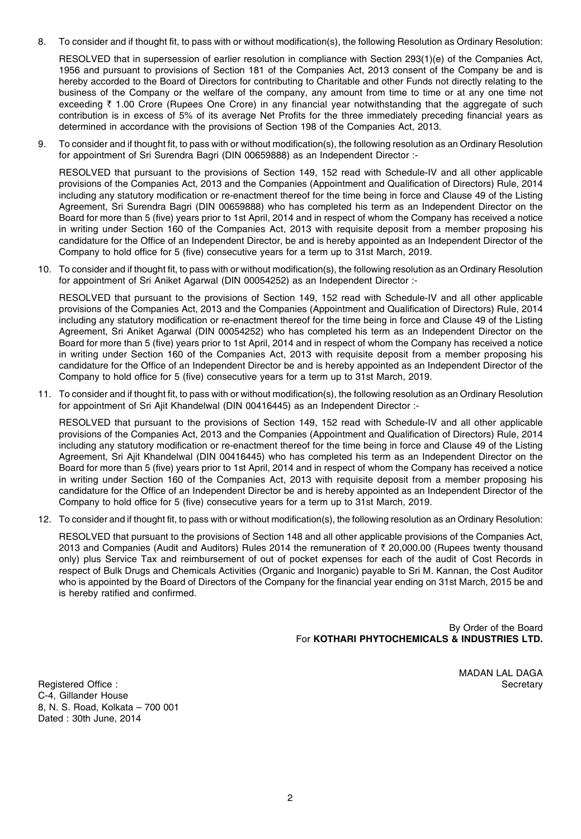8. To consider and if thought fit, to pass with or without modification(s), the following Resolution as Ordinary Resolution:

RESOLVED that in supersession of earlier resolution in compliance with Section 293(1)(e) of the Companies Act, 1956 and pursuant to provisions of Section 181 of the Companies Act, 2013 consent of the Company be and is hereby accorded to the Board of Directors for contributing to Charitable and other Funds not directly relating to the business of the Company or the welfare of the company, any amount from time to time or at any one time not exceeding  $\bar{\tau}$  1.00 Crore (Rupees One Crore) in any financial year notwithstanding that the aggregate of such contribution is in excess of 5% of its average Net Profits for the three immediately preceding financial years as determined in accordance with the provisions of Section 198 of the Companies Act, 2013.

9. To consider and if thought fit, to pass with or without modification(s), the following resolution as an Ordinary Resolution for appointment of Sri Surendra Bagri (DIN 00659888) as an Independent Director :-

RESOLVED that pursuant to the provisions of Section 149, 152 read with Schedule-IV and all other applicable provisions of the Companies Act, 2013 and the Companies (Appointment and Qualification of Directors) Rule, 2014 including any statutory modification or re-enactment thereof for the time being in force and Clause 49 of the Listing Agreement, Sri Surendra Bagri (DIN 00659888) who has completed his term as an Independent Director on the Board for more than 5 (five) years prior to 1st April, 2014 and in respect of whom the Company has received a notice in writing under Section 160 of the Companies Act, 2013 with requisite deposit from a member proposing his candidature for the Office of an Independent Director, be and is hereby appointed as an Independent Director of the Company to hold office for 5 (five) consecutive years for a term up to 31st March, 2019.

10. To consider and if thought fit, to pass with or without modification(s), the following resolution as an Ordinary Resolution for appointment of Sri Aniket Agarwal (DIN 00054252) as an Independent Director :-

RESOLVED that pursuant to the provisions of Section 149, 152 read with Schedule-IV and all other applicable provisions of the Companies Act, 2013 and the Companies (Appointment and Qualification of Directors) Rule, 2014 including any statutory modification or re-enactment thereof for the time being in force and Clause 49 of the Listing Agreement, Sri Aniket Agarwal (DIN 00054252) who has completed his term as an Independent Director on the Board for more than 5 (five) years prior to 1st April, 2014 and in respect of whom the Company has received a notice in writing under Section 160 of the Companies Act, 2013 with requisite deposit from a member proposing his candidature for the Office of an Independent Director be and is hereby appointed as an Independent Director of the Company to hold office for 5 (five) consecutive years for a term up to 31st March, 2019.

11. To consider and if thought fit, to pass with or without modification(s), the following resolution as an Ordinary Resolution for appointment of Sri Ajit Khandelwal (DIN 00416445) as an Independent Director :-

RESOLVED that pursuant to the provisions of Section 149, 152 read with Schedule-IV and all other applicable provisions of the Companies Act, 2013 and the Companies (Appointment and Qualification of Directors) Rule, 2014 including any statutory modification or re-enactment thereof for the time being in force and Clause 49 of the Listing Agreement, Sri Ajit Khandelwal (DIN 00416445) who has completed his term as an Independent Director on the Board for more than 5 (five) years prior to 1st April, 2014 and in respect of whom the Company has received a notice in writing under Section 160 of the Companies Act, 2013 with requisite deposit from a member proposing his candidature for the Office of an Independent Director be and is hereby appointed as an Independent Director of the Company to hold office for 5 (five) consecutive years for a term up to 31st March, 2019.

12. To consider and if thought fit, to pass with or without modification(s), the following resolution as an Ordinary Resolution:

RESOLVED that pursuant to the provisions of Section 148 and all other applicable provisions of the Companies Act, 2013 and Companies (Audit and Auditors) Rules 2014 the remuneration of  $\bar{\tau}$  20,000.00 (Rupees twenty thousand only) plus Service Tax and reimbursement of out of pocket expenses for each of the audit of Cost Records in respect of Bulk Drugs and Chemicals Activities (Organic and Inorganic) payable to Sri M. Kannan, the Cost Auditor who is appointed by the Board of Directors of the Company for the financial year ending on 31st March, 2015 be and is hereby ratified and confirmed.

> By Order of the Board For **KOTHARI PHYTOCHEMICALS & INDUSTRIES LTD.**

> > MADAN LAL DAGA

Registered Office : Secretary C-4, Gillander House 8, N. S. Road, Kolkata – 700 001 Dated : 30th June, 2014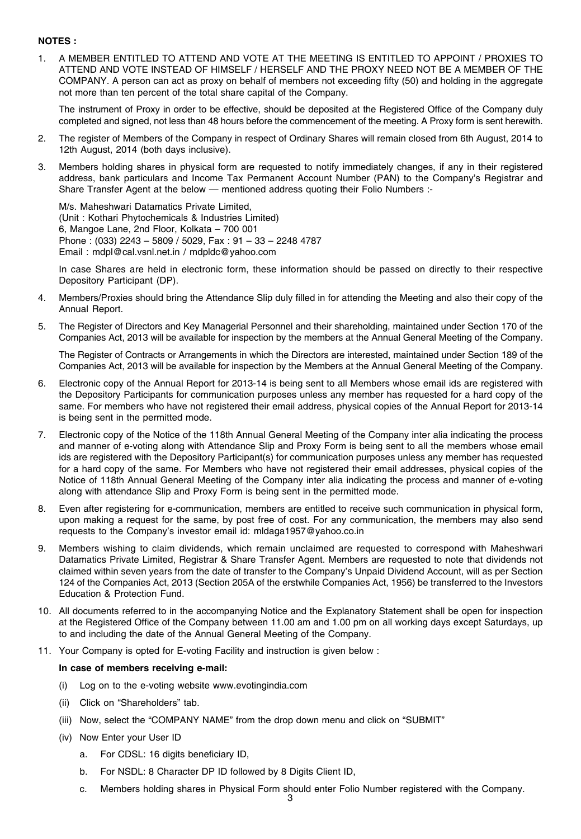### **NOTES :**

1. A MEMBER ENTITLED TO ATTEND AND VOTE AT THE MEETING IS ENTITLED TO APPOINT / PROXIES TO ATTEND AND VOTE INSTEAD OF HIMSELF / HERSELF AND THE PROXY NEED NOT BE A MEMBER OF THE COMPANY. A person can act as proxy on behalf of members not exceeding fifty (50) and holding in the aggregate not more than ten percent of the total share capital of the Company.

The instrument of Proxy in order to be effective, should be deposited at the Registered Office of the Company duly completed and signed, not less than 48 hours before the commencement of the meeting. A Proxy form is sent herewith.

- 2. The register of Members of the Company in respect of Ordinary Shares will remain closed from 6th August, 2014 to 12th August, 2014 (both days inclusive).
- 3. Members holding shares in physical form are requested to notify immediately changes, if any in their registered address, bank particulars and Income Tax Permanent Account Number (PAN) to the Company's Registrar and Share Transfer Agent at the below — mentioned address quoting their Folio Numbers :-

M/s. Maheshwari Datamatics Private Limited, (Unit : Kothari Phytochemicals & Industries Limited) 6, Mangoe Lane, 2nd Floor, Kolkata – 700 001 Phone : (033) 2243 – 5809 / 5029, Fax : 91 – 33 – 2248 4787 Email : mdpl@cal.vsnl.net.in / mdpldc@yahoo.com

In case Shares are held in electronic form, these information should be passed on directly to their respective Depository Participant (DP).

- 4. Members/Proxies should bring the Attendance Slip duly filled in for attending the Meeting and also their copy of the Annual Report.
- 5. The Register of Directors and Key Managerial Personnel and their shareholding, maintained under Section 170 of the Companies Act, 2013 will be available for inspection by the members at the Annual General Meeting of the Company.

The Register of Contracts or Arrangements in which the Directors are interested, maintained under Section 189 of the Companies Act, 2013 will be available for inspection by the Members at the Annual General Meeting of the Company.

- 6. Electronic copy of the Annual Report for 2013-14 is being sent to all Members whose email ids are registered with the Depository Participants for communication purposes unless any member has requested for a hard copy of the same. For members who have not registered their email address, physical copies of the Annual Report for 2013-14 is being sent in the permitted mode.
- 7. Electronic copy of the Notice of the 118th Annual General Meeting of the Company inter alia indicating the process and manner of e-voting along with Attendance Slip and Proxy Form is being sent to all the members whose email ids are registered with the Depository Participant(s) for communication purposes unless any member has requested for a hard copy of the same. For Members who have not registered their email addresses, physical copies of the Notice of 118th Annual General Meeting of the Company inter alia indicating the process and manner of e-voting along with attendance Slip and Proxy Form is being sent in the permitted mode.
- 8. Even after registering for e-communication, members are entitled to receive such communication in physical form, upon making a request for the same, by post free of cost. For any communication, the members may also send requests to the Company's investor email id: mldaga1957@yahoo.co.in
- 9. Members wishing to claim dividends, which remain unclaimed are requested to correspond with Maheshwari Datamatics Private Limited, Registrar & Share Transfer Agent. Members are requested to note that dividends not claimed within seven years from the date of transfer to the Company's Unpaid Dividend Account, will as per Section 124 of the Companies Act, 2013 (Section 205A of the erstwhile Companies Act, 1956) be transferred to the Investors Education & Protection Fund.
- 10. All documents referred to in the accompanying Notice and the Explanatory Statement shall be open for inspection at the Registered Office of the Company between 11.00 am and 1.00 pm on all working days except Saturdays, up to and including the date of the Annual General Meeting of the Company.
- 11. Your Company is opted for E-voting Facility and instruction is given below :

#### **In case of members receiving e-mail:**

- (i) Log on to the e-voting website www.evotingindia.com
- (ii) Click on "Shareholders" tab.
- (iii) Now, select the "COMPANY NAME" from the drop down menu and click on "SUBMIT"
- (iv) Now Enter your User ID
	- a. For CDSL: 16 digits beneficiary ID,
	- b. For NSDL: 8 Character DP ID followed by 8 Digits Client ID.
	- c. Members holding shares in Physical Form should enter Folio Number registered with the Company.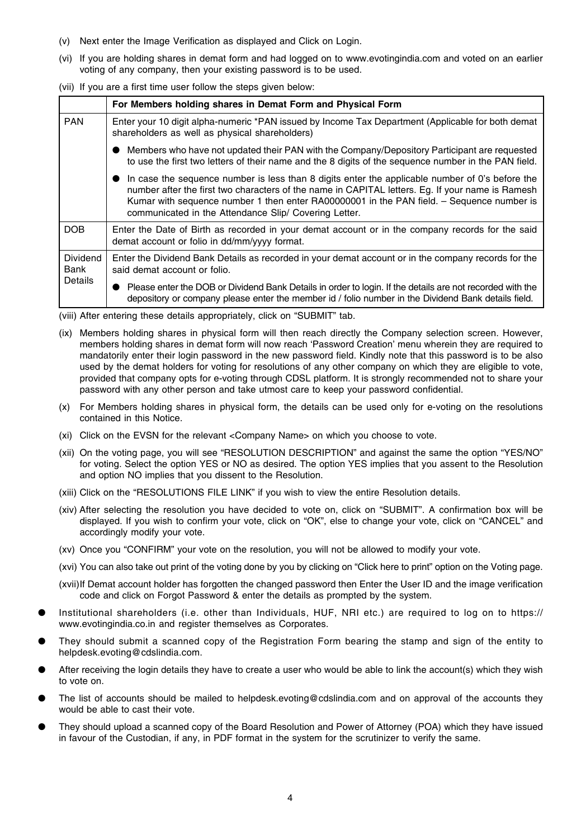- (v) Next enter the Image Verification as displayed and Click on Login.
- (vi) If you are holding shares in demat form and had logged on to www.evotingindia.com and voted on an earlier voting of any company, then your existing password is to be used.

(vii) If you are a first time user follow the steps given below:

|                                    | For Members holding shares in Demat Form and Physical Form                                                                                                                                                                                                                                                                                                |
|------------------------------------|-----------------------------------------------------------------------------------------------------------------------------------------------------------------------------------------------------------------------------------------------------------------------------------------------------------------------------------------------------------|
| <b>PAN</b>                         | Enter your 10 digit alpha-numeric *PAN issued by Income Tax Department (Applicable for both demat<br>shareholders as well as physical shareholders)                                                                                                                                                                                                       |
|                                    | Members who have not updated their PAN with the Company/Depository Participant are requested<br>to use the first two letters of their name and the 8 digits of the sequence number in the PAN field.                                                                                                                                                      |
|                                    | In case the sequence number is less than 8 digits enter the applicable number of 0's before the<br>number after the first two characters of the name in CAPITAL letters. Eg. If your name is Ramesh<br>Kumar with sequence number 1 then enter RA00000001 in the PAN field. - Sequence number is<br>communicated in the Attendance Slip/ Covering Letter. |
| DOB                                | Enter the Date of Birth as recorded in your demat account or in the company records for the said<br>demat account or folio in dd/mm/yyyy format.                                                                                                                                                                                                          |
| <b>Dividend</b><br>Bank<br>Details | Enter the Dividend Bank Details as recorded in your demat account or in the company records for the<br>said demat account or folio.                                                                                                                                                                                                                       |
|                                    | Please enter the DOB or Dividend Bank Details in order to login. If the details are not recorded with the<br>depository or company please enter the member id / folio number in the Dividend Bank details field.                                                                                                                                          |

(viii) After entering these details appropriately, click on "SUBMIT" tab.

- (ix) Members holding shares in physical form will then reach directly the Company selection screen. However, members holding shares in demat form will now reach 'Password Creation' menu wherein they are required to mandatorily enter their login password in the new password field. Kindly note that this password is to be also used by the demat holders for voting for resolutions of any other company on which they are eligible to vote, provided that company opts for e-voting through CDSL platform. It is strongly recommended not to share your password with any other person and take utmost care to keep your password confidential.
- (x) For Members holding shares in physical form, the details can be used only for e-voting on the resolutions contained in this Notice.
- (xi) Click on the EVSN for the relevant <Company Name> on which you choose to vote.
- (xii) On the voting page, you will see "RESOLUTION DESCRIPTION" and against the same the option "YES/NO" for voting. Select the option YES or NO as desired. The option YES implies that you assent to the Resolution and option NO implies that you dissent to the Resolution.
- (xiii) Click on the "RESOLUTIONS FILE LINK" if you wish to view the entire Resolution details.
- (xiv) After selecting the resolution you have decided to vote on, click on "SUBMIT". A confirmation box will be displayed. If you wish to confirm your vote, click on "OK", else to change your vote, click on "CANCEL" and accordingly modify your vote.
- (xv) Once you "CONFIRM" your vote on the resolution, you will not be allowed to modify your vote.
- (xvi) You can also take out print of the voting done by you by clicking on "Click here to print" option on the Voting page.
- (xvii)If Demat account holder has forgotten the changed password then Enter the User ID and the image verification code and click on Forgot Password & enter the details as prompted by the system.
- Institutional shareholders (i.e. other than Individuals, HUF, NRI etc.) are required to log on to https:// www.evotingindia.co.in and register themselves as Corporates.
- They should submit a scanned copy of the Registration Form bearing the stamp and sign of the entity to helpdesk.evoting@cdslindia.com.
- After receiving the login details they have to create a user who would be able to link the account(s) which they wish to vote on.
- The list of accounts should be mailed to helpdesk.evoting@cdslindia.com and on approval of the accounts they would be able to cast their vote.
- They should upload a scanned copy of the Board Resolution and Power of Attorney (POA) which they have issued in favour of the Custodian, if any, in PDF format in the system for the scrutinizer to verify the same.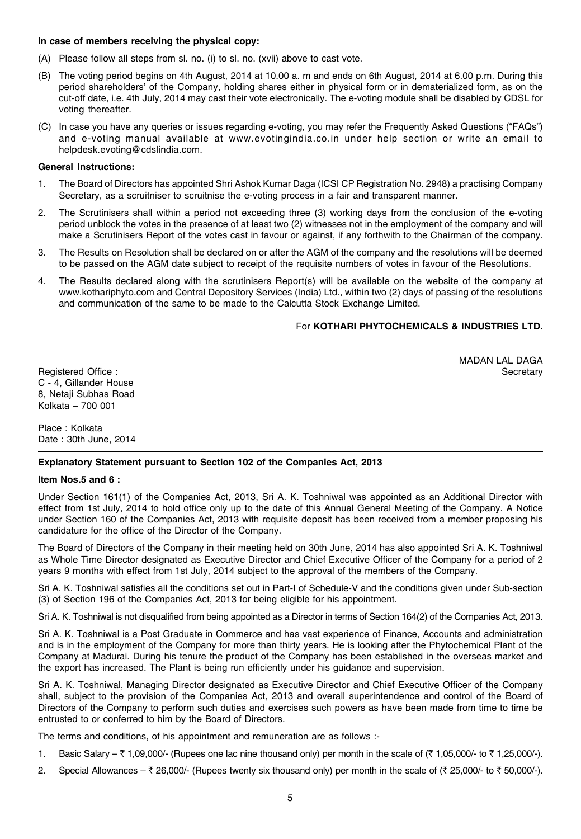#### **In case of members receiving the physical copy:**

- (A) Please follow all steps from sl. no. (i) to sl. no. (xvii) above to cast vote.
- (B) The voting period begins on 4th August, 2014 at 10.00 a. m and ends on 6th August, 2014 at 6.00 p.m. During this period shareholders' of the Company, holding shares either in physical form or in dematerialized form, as on the cut-off date, i.e. 4th July, 2014 may cast their vote electronically. The e-voting module shall be disabled by CDSL for voting thereafter.
- (C) In case you have any queries or issues regarding e-voting, you may refer the Frequently Asked Questions ("FAQs") and e-voting manual available at www.evotingindia.co.in under help section or write an email to helpdesk.evoting@cdslindia.com.

#### **General Instructions:**

- 1. The Board of Directors has appointed Shri Ashok Kumar Daga (ICSI CP Registration No. 2948) a practising Company Secretary, as a scruitniser to scruitnise the e-voting process in a fair and transparent manner.
- 2. The Scrutinisers shall within a period not exceeding three (3) working days from the conclusion of the e-voting period unblock the votes in the presence of at least two (2) witnesses not in the employment of the company and will make a Scrutinisers Report of the votes cast in favour or against, if any forthwith to the Chairman of the company.
- 3. The Results on Resolution shall be declared on or after the AGM of the company and the resolutions will be deemed to be passed on the AGM date subject to receipt of the requisite numbers of votes in favour of the Resolutions.
- 4. The Results declared along with the scrutinisers Report(s) will be available on the website of the company at www.kothariphyto.com and Central Depository Services (India) Ltd., within two (2) days of passing of the resolutions and communication of the same to be made to the Calcutta Stock Exchange Limited.

## For **KOTHARI PHYTOCHEMICALS & INDUSTRIES LTD.**

MADAN LAL DAGA

Registered Office : Secretary C - 4, Gillander House 8, Netaji Subhas Road Kolkata – 700 001

Place : Kolkata Date : 30th June, 2014

# **Explanatory Statement pursuant to Section 102 of the Companies Act, 2013**

#### **Item Nos.5 and 6 :**

Under Section 161(1) of the Companies Act, 2013, Sri A. K. Toshniwal was appointed as an Additional Director with effect from 1st July, 2014 to hold office only up to the date of this Annual General Meeting of the Company. A Notice under Section 160 of the Companies Act, 2013 with requisite deposit has been received from a member proposing his candidature for the office of the Director of the Company.

The Board of Directors of the Company in their meeting held on 30th June, 2014 has also appointed Sri A. K. Toshniwal as Whole Time Director designated as Executive Director and Chief Executive Officer of the Company for a period of 2 years 9 months with effect from 1st July, 2014 subject to the approval of the members of the Company.

Sri A. K. Toshniwal satisfies all the conditions set out in Part-I of Schedule-V and the conditions given under Sub-section (3) of Section 196 of the Companies Act, 2013 for being eligible for his appointment.

Sri A. K. Toshniwal is not disqualified from being appointed as a Director in terms of Section 164(2) of the Companies Act, 2013.

Sri A. K. Toshniwal is a Post Graduate in Commerce and has vast experience of Finance, Accounts and administration and is in the employment of the Company for more than thirty years. He is looking after the Phytochemical Plant of the Company at Madurai. During his tenure the product of the Company has been established in the overseas market and the export has increased. The Plant is being run efficiently under his guidance and supervision.

Sri A. K. Toshniwal, Managing Director designated as Executive Director and Chief Executive Officer of the Company shall, subject to the provision of the Companies Act, 2013 and overall superintendence and control of the Board of Directors of the Company to perform such duties and exercises such powers as have been made from time to time be entrusted to or conferred to him by the Board of Directors.

The terms and conditions, of his appointment and remuneration are as follows :-

- 1. Basic Salary  $\bar{\tau}$  1,09,000/- (Rupees one lac nine thousand only) per month in the scale of ( $\bar{\tau}$  1,05,000/- to  $\bar{\tau}$  1,25,000/-).
- 2. Special Allowances  $\bar{\tau}$  26,000/- (Rupees twenty six thousand only) per month in the scale of ( $\bar{\tau}$  25,000/- to  $\bar{\tau}$  50,000/-).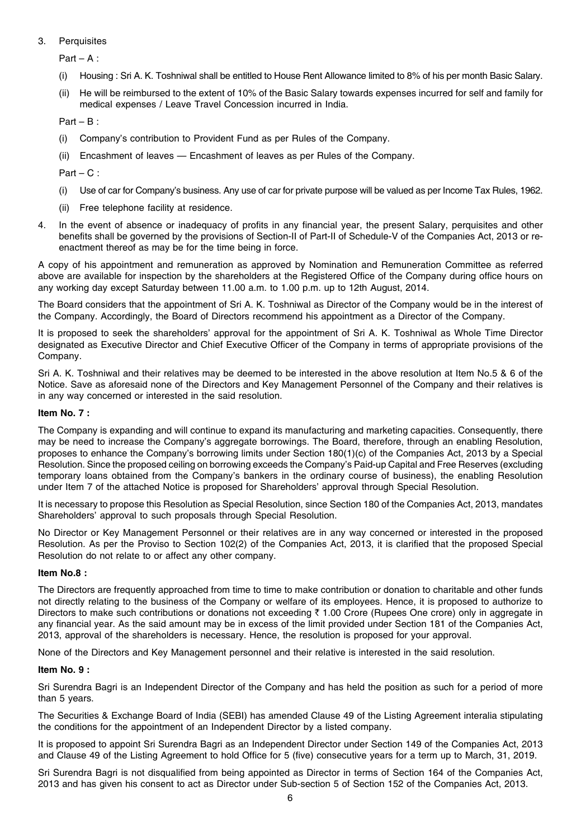## 3. Perquisites

 $Part - A$ :

- (i) Housing : Sri A. K. Toshniwal shall be entitled to House Rent Allowance limited to 8% of his per month Basic Salary.
- (ii) He will be reimbursed to the extent of 10% of the Basic Salary towards expenses incurred for self and family for medical expenses / Leave Travel Concession incurred in India.

```
Part - B:
```
- (i) Company's contribution to Provident Fund as per Rules of the Company.
- (ii) Encashment of leaves Encashment of leaves as per Rules of the Company.

 $Part - C$ :

- (i) Use of car for Company's business. Any use of car for private purpose will be valued as per Income Tax Rules, 1962.
- (ii) Free telephone facility at residence.
- 4. In the event of absence or inadequacy of profits in any financial year, the present Salary, perquisites and other benefits shall be governed by the provisions of Section-II of Part-II of Schedule-V of the Companies Act, 2013 or reenactment thereof as may be for the time being in force.

A copy of his appointment and remuneration as approved by Nomination and Remuneration Committee as referred above are available for inspection by the shareholders at the Registered Office of the Company during office hours on any working day except Saturday between 11.00 a.m. to 1.00 p.m. up to 12th August, 2014.

The Board considers that the appointment of Sri A. K. Toshniwal as Director of the Company would be in the interest of the Company. Accordingly, the Board of Directors recommend his appointment as a Director of the Company.

It is proposed to seek the shareholders' approval for the appointment of Sri A. K. Toshniwal as Whole Time Director designated as Executive Director and Chief Executive Officer of the Company in terms of appropriate provisions of the Company.

Sri A. K. Toshniwal and their relatives may be deemed to be interested in the above resolution at Item No.5 & 6 of the Notice. Save as aforesaid none of the Directors and Key Management Personnel of the Company and their relatives is in any way concerned or interested in the said resolution.

## **Item No. 7 :**

The Company is expanding and will continue to expand its manufacturing and marketing capacities. Consequently, there may be need to increase the Company's aggregate borrowings. The Board, therefore, through an enabling Resolution, proposes to enhance the Company's borrowing limits under Section 180(1)(c) of the Companies Act, 2013 by a Special Resolution. Since the proposed ceiling on borrowing exceeds the Company's Paid-up Capital and Free Reserves (excluding temporary loans obtained from the Company's bankers in the ordinary course of business), the enabling Resolution under Item 7 of the attached Notice is proposed for Shareholders' approval through Special Resolution.

It is necessary to propose this Resolution as Special Resolution, since Section 180 of the Companies Act, 2013, mandates Shareholders' approval to such proposals through Special Resolution.

No Director or Key Management Personnel or their relatives are in any way concerned or interested in the proposed Resolution. As per the Proviso to Section 102(2) of the Companies Act, 2013, it is clarified that the proposed Special Resolution do not relate to or affect any other company.

#### **Item No.8 :**

The Directors are frequently approached from time to time to make contribution or donation to charitable and other funds not directly relating to the business of the Company or welfare of its employees. Hence, it is proposed to authorize to Directors to make such contributions or donations not exceeding  $\bar{\tau}$  1.00 Crore (Rupees One crore) only in aggregate in any financial year. As the said amount may be in excess of the limit provided under Section 181 of the Companies Act, 2013, approval of the shareholders is necessary. Hence, the resolution is proposed for your approval.

None of the Directors and Key Management personnel and their relative is interested in the said resolution.

#### **Item No. 9 :**

Sri Surendra Bagri is an Independent Director of the Company and has held the position as such for a period of more than 5 years.

The Securities & Exchange Board of India (SEBI) has amended Clause 49 of the Listing Agreement interalia stipulating the conditions for the appointment of an Independent Director by a listed company.

It is proposed to appoint Sri Surendra Bagri as an Independent Director under Section 149 of the Companies Act, 2013 and Clause 49 of the Listing Agreement to hold Office for 5 (five) consecutive years for a term up to March, 31, 2019.

Sri Surendra Bagri is not disqualified from being appointed as Director in terms of Section 164 of the Companies Act, 2013 and has given his consent to act as Director under Sub-section 5 of Section 152 of the Companies Act, 2013.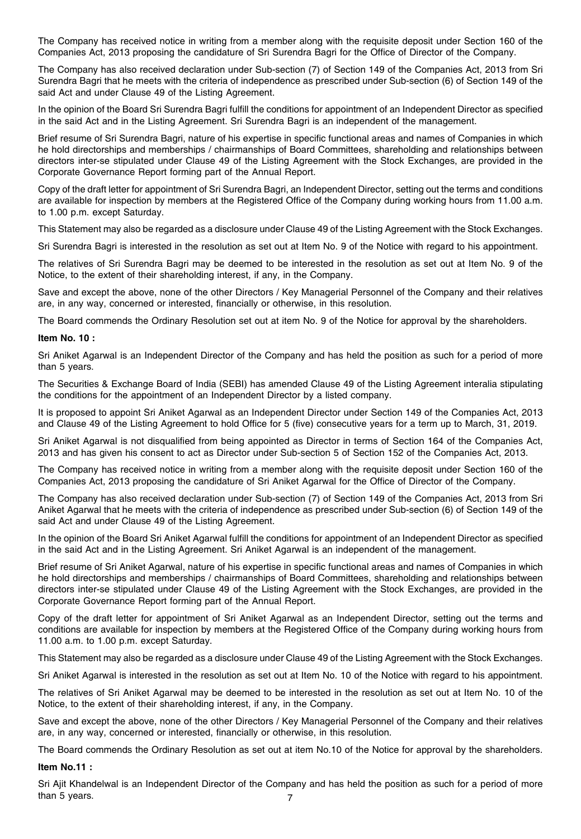The Company has received notice in writing from a member along with the requisite deposit under Section 160 of the Companies Act, 2013 proposing the candidature of Sri Surendra Bagri for the Office of Director of the Company.

The Company has also received declaration under Sub-section (7) of Section 149 of the Companies Act, 2013 from Sri Surendra Bagri that he meets with the criteria of independence as prescribed under Sub-section (6) of Section 149 of the said Act and under Clause 49 of the Listing Agreement.

In the opinion of the Board Sri Surendra Bagri fulfill the conditions for appointment of an Independent Director as specified in the said Act and in the Listing Agreement. Sri Surendra Bagri is an independent of the management.

Brief resume of Sri Surendra Bagri, nature of his expertise in specific functional areas and names of Companies in which he hold directorships and memberships / chairmanships of Board Committees, shareholding and relationships between directors inter-se stipulated under Clause 49 of the Listing Agreement with the Stock Exchanges, are provided in the Corporate Governance Report forming part of the Annual Report.

Copy of the draft letter for appointment of Sri Surendra Bagri, an Independent Director, setting out the terms and conditions are available for inspection by members at the Registered Office of the Company during working hours from 11.00 a.m. to 1.00 p.m. except Saturday.

This Statement may also be regarded as a disclosure under Clause 49 of the Listing Agreement with the Stock Exchanges.

Sri Surendra Bagri is interested in the resolution as set out at Item No. 9 of the Notice with regard to his appointment.

The relatives of Sri Surendra Bagri may be deemed to be interested in the resolution as set out at Item No. 9 of the Notice, to the extent of their shareholding interest, if any, in the Company.

Save and except the above, none of the other Directors / Key Managerial Personnel of the Company and their relatives are, in any way, concerned or interested, financially or otherwise, in this resolution.

The Board commends the Ordinary Resolution set out at item No. 9 of the Notice for approval by the shareholders.

#### **Item No. 10 :**

Sri Aniket Agarwal is an Independent Director of the Company and has held the position as such for a period of more than 5 years.

The Securities & Exchange Board of India (SEBI) has amended Clause 49 of the Listing Agreement interalia stipulating the conditions for the appointment of an Independent Director by a listed company.

It is proposed to appoint Sri Aniket Agarwal as an Independent Director under Section 149 of the Companies Act, 2013 and Clause 49 of the Listing Agreement to hold Office for 5 (five) consecutive years for a term up to March, 31, 2019.

Sri Aniket Agarwal is not disqualified from being appointed as Director in terms of Section 164 of the Companies Act, 2013 and has given his consent to act as Director under Sub-section 5 of Section 152 of the Companies Act, 2013.

The Company has received notice in writing from a member along with the requisite deposit under Section 160 of the Companies Act, 2013 proposing the candidature of Sri Aniket Agarwal for the Office of Director of the Company.

The Company has also received declaration under Sub-section (7) of Section 149 of the Companies Act, 2013 from Sri Aniket Agarwal that he meets with the criteria of independence as prescribed under Sub-section (6) of Section 149 of the said Act and under Clause 49 of the Listing Agreement.

In the opinion of the Board Sri Aniket Agarwal fulfill the conditions for appointment of an Independent Director as specified in the said Act and in the Listing Agreement. Sri Aniket Agarwal is an independent of the management.

Brief resume of Sri Aniket Agarwal, nature of his expertise in specific functional areas and names of Companies in which he hold directorships and memberships / chairmanships of Board Committees, shareholding and relationships between directors inter-se stipulated under Clause 49 of the Listing Agreement with the Stock Exchanges, are provided in the Corporate Governance Report forming part of the Annual Report.

Copy of the draft letter for appointment of Sri Aniket Agarwal as an Independent Director, setting out the terms and conditions are available for inspection by members at the Registered Office of the Company during working hours from 11.00 a.m. to 1.00 p.m. except Saturday.

This Statement may also be regarded as a disclosure under Clause 49 of the Listing Agreement with the Stock Exchanges.

Sri Aniket Agarwal is interested in the resolution as set out at Item No. 10 of the Notice with regard to his appointment.

The relatives of Sri Aniket Agarwal may be deemed to be interested in the resolution as set out at Item No. 10 of the Notice, to the extent of their shareholding interest, if any, in the Company.

Save and except the above, none of the other Directors / Key Managerial Personnel of the Company and their relatives are, in any way, concerned or interested, financially or otherwise, in this resolution.

The Board commends the Ordinary Resolution as set out at item No.10 of the Notice for approval by the shareholders.

**Item No.11 :**

7 Sri Ajit Khandelwal is an Independent Director of the Company and has held the position as such for a period of more than 5 years.